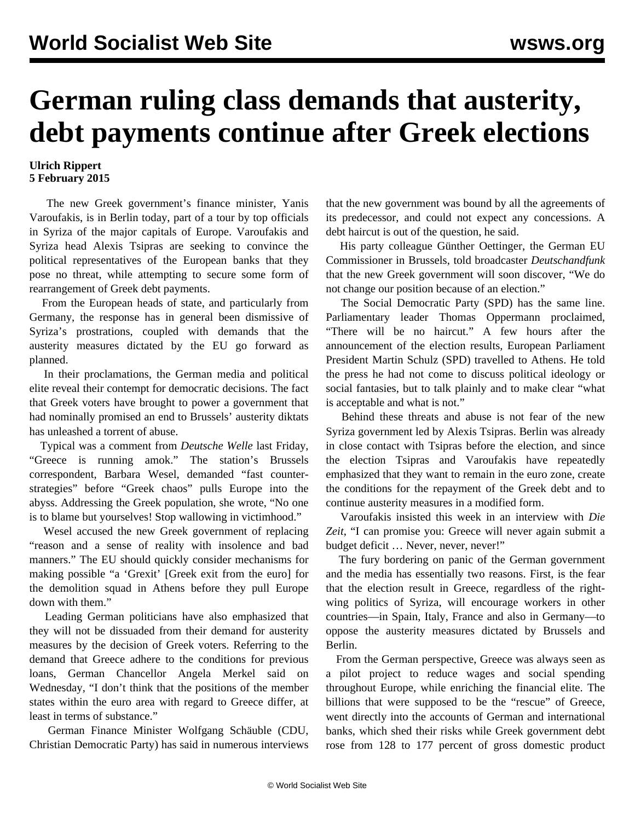## **German ruling class demands that austerity, debt payments continue after Greek elections**

## **Ulrich Rippert 5 February 2015**

 The new Greek government's finance minister, Yanis Varoufakis, is in Berlin today, part of a tour by top officials in Syriza of the major capitals of Europe. Varoufakis and Syriza head Alexis Tsipras are seeking to convince the political representatives of the European banks that they pose no threat, while attempting to secure some form of rearrangement of Greek debt payments.

 From the European heads of state, and particularly from Germany, the response has in general been dismissive of Syriza's prostrations, coupled with demands that the austerity measures dictated by the EU go forward as planned.

 In their proclamations, the German media and political elite reveal their contempt for democratic decisions. The fact that Greek voters have brought to power a government that had nominally promised an end to Brussels' austerity diktats has unleashed a torrent of abuse.

 Typical was a comment from *Deutsche Welle* last Friday, "Greece is running amok." The station's Brussels correspondent, Barbara Wesel, demanded "fast counterstrategies" before "Greek chaos" pulls Europe into the abyss. Addressing the Greek population, she wrote, "No one is to blame but yourselves! Stop wallowing in victimhood."

 Wesel accused the new Greek government of replacing "reason and a sense of reality with insolence and bad manners." The EU should quickly consider mechanisms for making possible "a 'Grexit' [Greek exit from the euro] for the demolition squad in Athens before they pull Europe down with them."

 Leading German politicians have also emphasized that they will not be dissuaded from their demand for austerity measures by the decision of Greek voters. Referring to the demand that Greece adhere to the conditions for previous loans, German Chancellor Angela Merkel said on Wednesday, "I don't think that the positions of the member states within the euro area with regard to Greece differ, at least in terms of substance."

 German Finance Minister Wolfgang Schäuble (CDU, Christian Democratic Party) has said in numerous interviews that the new government was bound by all the agreements of its predecessor, and could not expect any concessions. A debt haircut is out of the question, he said.

 His party colleague Günther Oettinger, the German EU Commissioner in Brussels, told broadcaster *Deutschandfunk* that the new Greek government will soon discover, "We do not change our position because of an election."

 The Social Democratic Party (SPD) has the same line. Parliamentary leader Thomas Oppermann proclaimed, "There will be no haircut." A few hours after the announcement of the election results, European Parliament President Martin Schulz (SPD) travelled to Athens. He told the press he had not come to discuss political ideology or social fantasies, but to talk plainly and to make clear "what is acceptable and what is not."

 Behind these threats and abuse is not fear of the new Syriza government led by Alexis Tsipras. Berlin was already in close contact with Tsipras before the election, and since the election Tsipras and Varoufakis have repeatedly emphasized that they want to remain in the euro zone, create the conditions for the repayment of the Greek debt and to continue austerity measures in a modified form.

 Varoufakis insisted this week in an interview with *Die Zeit*, "I can promise you: Greece will never again submit a budget deficit … Never, never, never!"

 The fury bordering on panic of the German government and the media has essentially two reasons. First, is the fear that the election result in Greece, regardless of the rightwing politics of Syriza, will encourage workers in other countries—in Spain, Italy, France and also in Germany—to oppose the austerity measures dictated by Brussels and Berlin.

 From the German perspective, Greece was always seen as a pilot project to reduce wages and social spending throughout Europe, while enriching the financial elite. The billions that were supposed to be the "rescue" of Greece, went directly into the accounts of German and international banks, which shed their risks while Greek government debt rose from 128 to 177 percent of gross domestic product